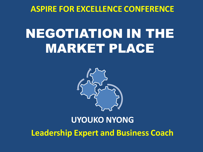**ASPIRE FOR EXCELLENCE CONFERENCE** 

## NEGOTIATION IN THE MARKET PLACE



### **UYOUKO NYONG Leadership Expert and Business Coach**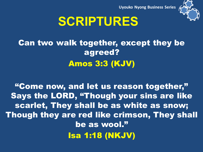



### **SCRIPTURES**

### Can two walk together, except they be agreed? Amos 3:3 (KJV)

"Come now, and let us reason together," Says the LORD, "Though your sins are like scarlet, They shall be as white as snow; Though they are red like crimson, They shall be as wool." Isa 1:18 (NKJV)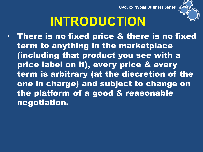**Uyouko Nyong Business Series** 



## **INTRODUCTION**

• There is no fixed price & there is no fixed term to anything in the marketplace (including that product you see with a price label on it), every price & every term is arbitrary (at the discretion of the one in charge) and subject to change on the platform of a good & reasonable negotiation.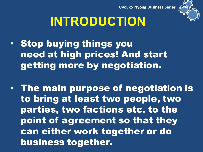

## **INTRODUCTION**

- Stop buying things you need at high prices! And start getting more by negotiation.
- The main purpose of negotiation is to bring at least two people, two parties, two factions etc. to the point of agreement so that they can either work together or do business together.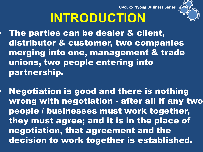**Uyouko Nyong Business Series** 



# **INTRODUCTION**

- The parties can be dealer & client, distributor & customer, two companies merging into one, management & trade unions, two people entering into partnership.
- Negotiation is good and there is nothing wrong with negotiation - after all if any two people / businesses must work together, they must agree; and it is in the place of negotiation, that agreement and the decision to work together is established.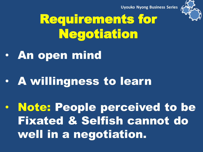

## Requirements for Negotiation

- An open mind
- A willingness to learn

• Note: People perceived to be Fixated & Selfish cannot do well in a negotiation.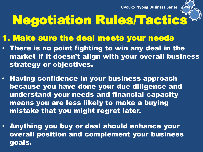

# Negotiation Rules/Tactics

#### 1. Make sure the deal meets your needs

- There is no point fighting to win any deal in the market if it doesn't align with your overall business strategy or objectives.
- Having confidence in your business approach because you have done your due diligence and understand your needs and financial capacity – means you are less likely to make a buying mistake that you might regret later.
- Anything you buy or deal should enhance your overall position and complement your business goals.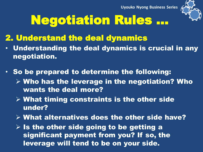

## Negotiation Rules …

### 2. Understand the deal dynamics

- Understanding the deal dynamics is crucial in any negotiation.
- So be prepared to determine the following:
	- $\triangleright$  Who has the leverage in the negotiation? Who wants the deal more?
	- $\triangleright$  What timing constraints is the other side under?
	- $\triangleright$  What alternatives does the other side have?
	- $\triangleright$  Is the other side going to be getting a significant payment from you? If so, the leverage will tend to be on your side.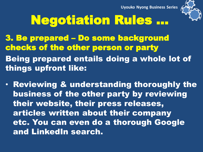

## Negotiation Rules …

3. Be prepared – Do some background checks of the other person or party

Being prepared entails doing a whole lot of things upfront like:

• Reviewing & understanding thoroughly the business of the other party by reviewing their website, their press releases, articles written about their company etc. You can even do a thorough Google and LinkedIn search.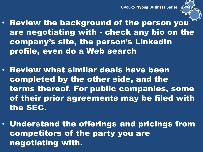

- Review the background of the person you are negotiating with - check any bio on the company's site, the person's LinkedIn profile, even do a Web search
- Review what similar deals have been completed by the other side, and the terms thereof. For public companies, some of their prior agreements may be filed with the SEC.
- Understand the offerings and pricings from competitors of the party you are negotiating with.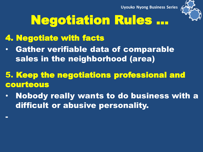

## Negotiation Rules …

### 4. Negotiate with facts

-

- Gather verifiable data of comparable sales in the neighborhood (area)
- 5. Keep the negotiations professional and courteous
- Nobody really wants to do business with a difficult or abusive personality.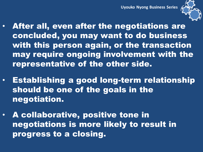

- After all, even after the negotiations are concluded, you may want to do business with this person again, or the transaction may require ongoing involvement with the representative of the other side.
- Establishing a good long-term relationship should be one of the goals in the negotiation.
- A collaborative, positive tone in negotiations is more likely to result in progress to a closing.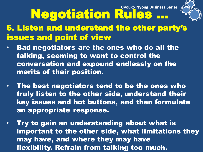

# Negotiation Rules …

6. Listen and understand the other party's issues and point of view

- Bad negotiators are the ones who do all the talking, seeming to want to control the conversation and expound endlessly on the merits of their position.
- The best negotiators tend to be the ones who truly listen to the other side, understand their key issues and hot buttons, and then formulate an appropriate response.
- Try to gain an understanding about what is important to the other side, what limitations they may have, and where they may have flexibility. Refrain from talking too much.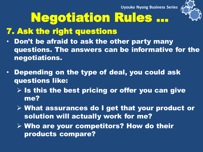

# Negotiation Rules …

### 7. Ask the right questions

- Don't be afraid to ask the other party many questions. The answers can be informative for the negotiations.
- Depending on the type of deal, you could ask questions like:
	- $\triangleright$  Is this the best pricing or offer you can give me?
	- What assurances do I get that your product or solution will actually work for me?
	- $\triangleright$  Who are your competitors? How do their products compare?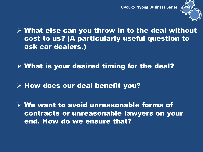

 $\triangleright$  What else can you throw in to the deal without cost to us? (A particularly useful question to ask car dealers.)

 $\triangleright$  What is your desired timing for the deal?

 $\triangleright$  How does our deal benefit you?

 We want to avoid unreasonable forms of contracts or unreasonable lawyers on your end. How do we ensure that?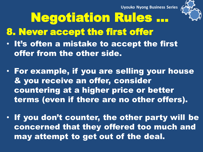

# Negotiation Rules …

- 8. Never accept the first offer
- It's often a mistake to accept the first offer from the other side.
- For example, if you are selling your house & you receive an offer, consider countering at a higher price or better terms (even if there are no other offers).
- If you don't counter, the other party will be concerned that they offered too much and may attempt to get out of the deal.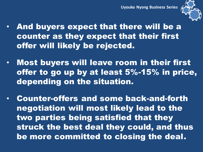

- And buyers expect that there will be a counter as they expect that their first offer will likely be rejected.
- Most buyers will leave room in their first offer to go up by at least 5%-15% in price, depending on the situation.
- Counter-offers and some back-and-forth negotiation will most likely lead to the two parties being satisfied that they struck the best deal they could, and thus be more committed to closing the deal.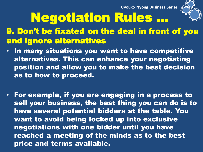

# Negotiation Rules …

### 9. Don't be fixated on the deal in front of you and ignore alternatives

- In many situations you want to have competitive alternatives. This can enhance your negotiating position and allow you to make the best decision as to how to proceed.
- For example, if you are engaging in a process to sell your business, the best thing you can do is to have several potential bidders at the table. You want to avoid being locked up into exclusive negotiations with one bidder until you have reached a meeting of the minds as to the best price and terms available.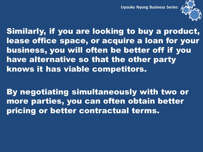

Similarly, if you are looking to buy a product, lease office space, or acquire a loan for your business, you will often be better off if you have alternative so that the other party knows it has viable competitors.

By negotiating simultaneously with two or more parties, you can often obtain better pricing or better contractual terms.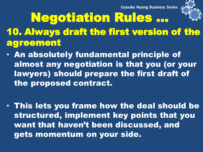

Negotiation Rules … 10. Always draft the first version of the agreement

- An absolutely fundamental principle of almost any negotiation is that you (or your lawyers) should prepare the first draft of the proposed contract.
- This lets you frame how the deal should be structured, implement key points that you want that haven't been discussed, and gets momentum on your side.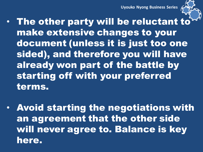

- The other party will be reluctant to make extensive changes to your document (unless it is just too one sided), and therefore you will have already won part of the battle by starting off with your preferred terms.
- Avoid starting the negotiations with an agreement that the other side will never agree to. Balance is key here.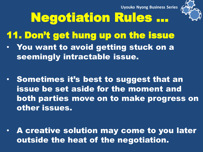

# Negotiation Rules …

- 11. Don't get hung up on the issue
- You want to avoid getting stuck on a seemingly intractable issue.
- Sometimes it's best to suggest that an issue be set aside for the moment and both parties move on to make progress on other issues.
- A creative solution may come to you later outside the heat of the negotiation.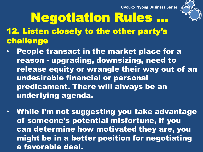

# Negotiation Rules …

- 12. Listen closely to the other party's challenge
- People transact in the market place for a reason - upgrading, downsizing, need to release equity or wrangle their way out of an undesirable financial or personal predicament. There will always be an underlying agenda.
- While I'm not suggesting you take advantage of someone's potential misfortune, if you can determine how motivated they are, you might be in a better position for negotiating a favorable deal.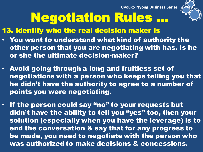

# Negotiation Rules …

13. Identify who the real decision maker is

- You want to understand what kind of authority the other person that you are negotiating with has. Is he or she the ultimate decision-maker?
- Avoid going through a long and fruitless set of negotiations with a person who keeps telling you that he didn't have the authority to agree to a number of points you were negotiating.
- If the person could say "no" to your requests but didn't have the ability to tell you "yes" too, then your solution (especially when you have the leverage) is to end the conversation & say that for any progress to be made, you need to negotiate with the person who was authorized to make decisions & concessions.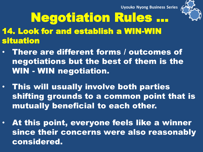

# Negotiation Rules …

- 14. Look for and establish a WIN-WIN situation
- There are different forms / outcomes of negotiations but the best of them is the WIN - WIN negotiation.
- This will usually involve both parties shifting grounds to a common point that is mutually beneficial to each other.
- At this point, everyone feels like a winner since their concerns were also reasonably considered.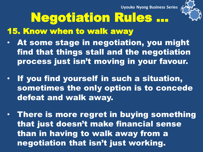

# Negotiation Rules …

15. Know when to walk away

- At some stage in negotiation, you might find that things stall and the negotiation process just isn't moving in your favour.
- If you find yourself in such a situation, sometimes the only option is to concede defeat and walk away.
- There is more regret in buying something that just doesn't make financial sense than in having to walk away from a negotiation that isn't just working.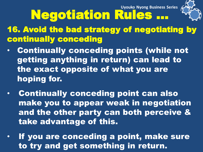

Negotiation Rules … 16. Avoid the bad strategy of negotiating by continually conceding

- Continually conceding points (while not getting anything in return) can lead to the exact opposite of what you are hoping for.
- Continually conceding point can also make you to appear weak in negotiation and the other party can both perceive & take advantage of this.
- If you are conceding a point, make sure to try and get something in return.